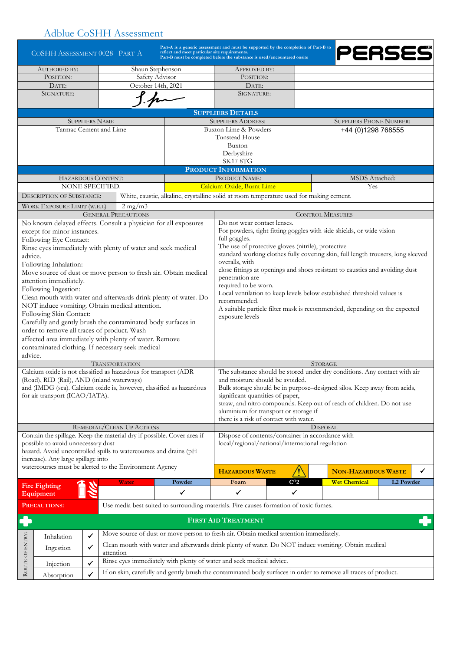## Adblue CoSHH Assessment

| reflect and meet particular site requirements.<br>COSHH ASSESSMENT 0028 - PART-A |                                                                                                                                    |                       |                                                       |                                                                                         | Part-A is a generic assessment and must be supported by the completion of Part-B to<br>Part-B must be completed before the substance is used/encountered onsite |                                                    | PERSES                                                                                              |           |   |  |  |  |
|----------------------------------------------------------------------------------|------------------------------------------------------------------------------------------------------------------------------------|-----------------------|-------------------------------------------------------|-----------------------------------------------------------------------------------------|-----------------------------------------------------------------------------------------------------------------------------------------------------------------|----------------------------------------------------|-----------------------------------------------------------------------------------------------------|-----------|---|--|--|--|
| <b>AUTHORED BY:</b>                                                              |                                                                                                                                    |                       | Shaun Stephenson                                      | APPROVED BY:                                                                            |                                                                                                                                                                 |                                                    |                                                                                                     |           |   |  |  |  |
| POSITION:                                                                        |                                                                                                                                    |                       | Safety Advisor<br>POSITION:                           |                                                                                         |                                                                                                                                                                 |                                                    |                                                                                                     |           |   |  |  |  |
| October 14th, 2021<br>DATE:                                                      |                                                                                                                                    |                       |                                                       | DATE:                                                                                   |                                                                                                                                                                 |                                                    |                                                                                                     |           |   |  |  |  |
| SIGNATURE:                                                                       |                                                                                                                                    |                       |                                                       |                                                                                         | SIGNATURE:                                                                                                                                                      |                                                    |                                                                                                     |           |   |  |  |  |
|                                                                                  |                                                                                                                                    |                       |                                                       |                                                                                         | <b>SUPPLIERS DETAILS</b>                                                                                                                                        |                                                    |                                                                                                     |           |   |  |  |  |
|                                                                                  |                                                                                                                                    | <b>SUPPLIERS NAME</b> |                                                       |                                                                                         | <b>SUPPLIERS ADDRESS:</b>                                                                                                                                       |                                                    | <b>SUPPLIERS PHONE NUMBER:</b>                                                                      |           |   |  |  |  |
|                                                                                  | Tarmac Cement and Lime                                                                                                             |                       |                                                       |                                                                                         | Buxton Lime & Powders<br>+44 (0)1298 768555<br>Tunstead House                                                                                                   |                                                    |                                                                                                     |           |   |  |  |  |
|                                                                                  |                                                                                                                                    |                       |                                                       |                                                                                         | Buxton                                                                                                                                                          |                                                    |                                                                                                     |           |   |  |  |  |
|                                                                                  |                                                                                                                                    |                       |                                                       |                                                                                         | Derbyshire                                                                                                                                                      |                                                    |                                                                                                     |           |   |  |  |  |
|                                                                                  |                                                                                                                                    |                       |                                                       |                                                                                         | <b>SK17 8TG</b>                                                                                                                                                 |                                                    |                                                                                                     |           |   |  |  |  |
|                                                                                  |                                                                                                                                    |                       |                                                       |                                                                                         | PRODUCT INFORMATION                                                                                                                                             |                                                    |                                                                                                     |           |   |  |  |  |
|                                                                                  | HAZARDOUS CONTENT:<br>NONE SPECIFIED.                                                                                              |                       |                                                       |                                                                                         | PRODUCT NAME:<br>MSDS Attached:<br>Calcium Oxide, Burnt Lime<br>Yes                                                                                             |                                                    |                                                                                                     |           |   |  |  |  |
|                                                                                  | <b>DESCRIPTION OF SUBSTANCE:</b>                                                                                                   |                       |                                                       | White, caustic, alkaline, crystalline solid at room temperature used for making cement. |                                                                                                                                                                 |                                                    |                                                                                                     |           |   |  |  |  |
|                                                                                  |                                                                                                                                    |                       |                                                       |                                                                                         |                                                                                                                                                                 |                                                    |                                                                                                     |           |   |  |  |  |
|                                                                                  | WORK EXPOSURE LIMIT (W.E.L)                                                                                                        |                       | $2 \text{ mg}/\text{m}$<br><b>GENERAL PRECAUTIONS</b> |                                                                                         |                                                                                                                                                                 |                                                    | <b>CONTROL MEASURES</b>                                                                             |           |   |  |  |  |
|                                                                                  |                                                                                                                                    |                       |                                                       | No known delayed effects. Consult a physician for all exposures                         | Do not wear contact lenses.                                                                                                                                     |                                                    |                                                                                                     |           |   |  |  |  |
|                                                                                  | except for minor instances.                                                                                                        |                       |                                                       |                                                                                         | For powders, tight fitting goggles with side shields, or wide vision                                                                                            |                                                    |                                                                                                     |           |   |  |  |  |
|                                                                                  | Following Eye Contact:                                                                                                             |                       |                                                       |                                                                                         | full goggles.                                                                                                                                                   |                                                    |                                                                                                     |           |   |  |  |  |
|                                                                                  | Rinse eyes immediately with plenty of water and seek medical                                                                       |                       |                                                       |                                                                                         |                                                                                                                                                                 | The use of protective gloves (nitrile), protective |                                                                                                     |           |   |  |  |  |
| advice.                                                                          |                                                                                                                                    |                       |                                                       |                                                                                         | standard working clothes fully covering skin, full length trousers, long sleeved                                                                                |                                                    |                                                                                                     |           |   |  |  |  |
|                                                                                  | Following Inhalation:                                                                                                              |                       |                                                       |                                                                                         |                                                                                                                                                                 | overalls, with                                     |                                                                                                     |           |   |  |  |  |
|                                                                                  |                                                                                                                                    |                       |                                                       | Move source of dust or move person to fresh air. Obtain medical                         | close fittings at openings and shoes resistant to caustics and avoiding dust<br>penetration are                                                                 |                                                    |                                                                                                     |           |   |  |  |  |
|                                                                                  | attention immediately.<br>Following Ingestion:                                                                                     |                       |                                                       |                                                                                         | required to be worn.                                                                                                                                            |                                                    |                                                                                                     |           |   |  |  |  |
|                                                                                  |                                                                                                                                    |                       |                                                       | Clean mouth with water and afterwards drink plenty of water. Do                         | Local ventilation to keep levels below established threshold values is                                                                                          |                                                    |                                                                                                     |           |   |  |  |  |
|                                                                                  | NOT induce vomiting. Obtain medical attention.                                                                                     |                       |                                                       |                                                                                         | recommended.                                                                                                                                                    |                                                    |                                                                                                     |           |   |  |  |  |
|                                                                                  | Following Skin Contact:                                                                                                            |                       |                                                       |                                                                                         | A suitable particle filter mask is recommended, depending on the expected<br>exposure levels                                                                    |                                                    |                                                                                                     |           |   |  |  |  |
|                                                                                  | Carefully and gently brush the contaminated body surfaces in                                                                       |                       |                                                       |                                                                                         |                                                                                                                                                                 |                                                    |                                                                                                     |           |   |  |  |  |
|                                                                                  | order to remove all traces of product. Wash                                                                                        |                       |                                                       |                                                                                         |                                                                                                                                                                 |                                                    |                                                                                                     |           |   |  |  |  |
|                                                                                  | affected area immediately with plenty of water. Remove                                                                             |                       |                                                       |                                                                                         |                                                                                                                                                                 |                                                    |                                                                                                     |           |   |  |  |  |
| advice.                                                                          | contaminated clothing. If necessary seek medical                                                                                   |                       |                                                       |                                                                                         |                                                                                                                                                                 |                                                    |                                                                                                     |           |   |  |  |  |
|                                                                                  |                                                                                                                                    |                       | <b>TRANSPORTATION</b>                                 |                                                                                         |                                                                                                                                                                 |                                                    | <b>STORAGE</b>                                                                                      |           |   |  |  |  |
|                                                                                  | Calcium oxide is not classified as hazardous for transport (ADR                                                                    |                       |                                                       |                                                                                         |                                                                                                                                                                 |                                                    | The substance should be stored under dry conditions. Any contact with air                           |           |   |  |  |  |
|                                                                                  | (Road), RID (Rail), AND (inland waterways)                                                                                         |                       |                                                       |                                                                                         | and moisture should be avoided.                                                                                                                                 |                                                    |                                                                                                     |           |   |  |  |  |
|                                                                                  |                                                                                                                                    |                       |                                                       | and (IMDG (sea). Calcium oxide is, however, classified as hazardous                     | Bulk storage should be in purpose-designed silos. Keep away from acids,                                                                                         |                                                    |                                                                                                     |           |   |  |  |  |
|                                                                                  | for air transport (ICAO/IATA).                                                                                                     |                       |                                                       |                                                                                         | significant quantities of paper,<br>straw, and nitro compounds. Keep out of reach of children. Do not use                                                       |                                                    |                                                                                                     |           |   |  |  |  |
|                                                                                  |                                                                                                                                    |                       |                                                       |                                                                                         | aluminium for transport or storage if                                                                                                                           |                                                    |                                                                                                     |           |   |  |  |  |
|                                                                                  |                                                                                                                                    |                       |                                                       |                                                                                         | there is a risk of contact with water.                                                                                                                          |                                                    |                                                                                                     |           |   |  |  |  |
|                                                                                  |                                                                                                                                    |                       | REMEDIAL/CLEAN UP ACTIONS                             |                                                                                         | <b>DISPOSAL</b>                                                                                                                                                 |                                                    |                                                                                                     |           |   |  |  |  |
|                                                                                  |                                                                                                                                    |                       |                                                       | Contain the spillage. Keep the material dry if possible. Cover area if                  | Dispose of contents/container in accordance with                                                                                                                |                                                    |                                                                                                     |           |   |  |  |  |
|                                                                                  | possible to avoid unnecessary dust                                                                                                 |                       |                                                       |                                                                                         | local/regional/national/international regulation                                                                                                                |                                                    |                                                                                                     |           |   |  |  |  |
|                                                                                  | hazard. Avoid uncontrolled spills to watercourses and drains (pH<br>increase). Any large spillage into                             |                       |                                                       |                                                                                         |                                                                                                                                                                 |                                                    |                                                                                                     |           |   |  |  |  |
|                                                                                  | watercourses must be alerted to the Environment Agency                                                                             |                       |                                                       |                                                                                         |                                                                                                                                                                 |                                                    |                                                                                                     |           |   |  |  |  |
|                                                                                  |                                                                                                                                    |                       |                                                       |                                                                                         | <b>HAZARDOUS WASTE</b>                                                                                                                                          |                                                    | <b>NON-HAZARDOUS WASTE</b>                                                                          |           | ✓ |  |  |  |
|                                                                                  | <b>Fire Fighting</b>                                                                                                               |                       | Water                                                 | Powder                                                                                  | Foam                                                                                                                                                            | C <sub>02</sub>                                    | <b>Wet Chemical</b>                                                                                 | L2 Powder |   |  |  |  |
|                                                                                  | Equipment                                                                                                                          |                       |                                                       | ✔                                                                                       | $\checkmark$                                                                                                                                                    | $\checkmark$                                       |                                                                                                     |           |   |  |  |  |
|                                                                                  | <b>PRECAUTIONS:</b>                                                                                                                |                       |                                                       |                                                                                         | Use media best suited to surrounding materials. Fire causes formation of toxic fumes.                                                                           |                                                    |                                                                                                     |           |   |  |  |  |
|                                                                                  |                                                                                                                                    |                       |                                                       |                                                                                         | <b>FIRST AID TREATMENT</b>                                                                                                                                      |                                                    |                                                                                                     |           |   |  |  |  |
|                                                                                  | Inhalation                                                                                                                         | $\checkmark$          |                                                       | Move source of dust or move person to fresh air. Obtain medical attention immediately.  |                                                                                                                                                                 |                                                    |                                                                                                     |           |   |  |  |  |
| ROUTE OF ENTRY:                                                                  | Ingestion                                                                                                                          | $\checkmark$          | attention                                             |                                                                                         |                                                                                                                                                                 |                                                    | Clean mouth with water and afterwards drink plenty of water. Do NOT induce vomiting. Obtain medical |           |   |  |  |  |
|                                                                                  | Injection                                                                                                                          | $\checkmark$          |                                                       | Rinse eyes immediately with plenty of water and seek medical advice.                    |                                                                                                                                                                 |                                                    |                                                                                                     |           |   |  |  |  |
|                                                                                  |                                                                                                                                    |                       |                                                       |                                                                                         |                                                                                                                                                                 |                                                    |                                                                                                     |           |   |  |  |  |
|                                                                                  | If on skin, carefully and gently brush the contaminated body surfaces in order to remove all traces of product.<br>✓<br>Absorption |                       |                                                       |                                                                                         |                                                                                                                                                                 |                                                    |                                                                                                     |           |   |  |  |  |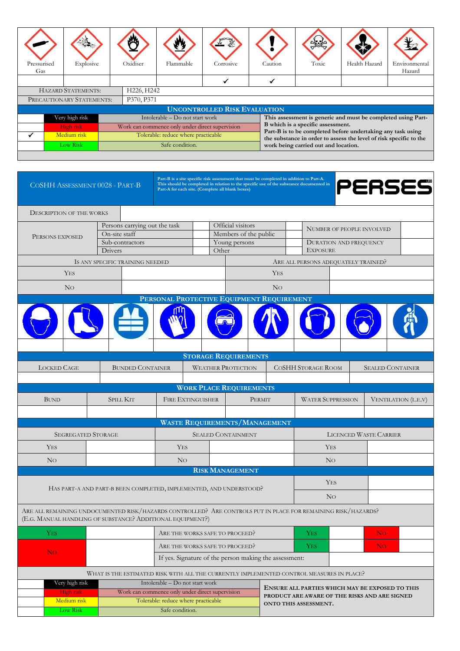| Pressurised<br>Gas                  |             | Explosive |            | Oxidiser                                        | Flammable                           | Corrosive | Caution                                                      | Toxic                                                                                            | Health Hazard | Environmental<br>Hazard |  |  |
|-------------------------------------|-------------|-----------|------------|-------------------------------------------------|-------------------------------------|-----------|--------------------------------------------------------------|--------------------------------------------------------------------------------------------------|---------------|-------------------------|--|--|
|                                     |             |           |            |                                                 |                                     |           |                                                              |                                                                                                  |               |                         |  |  |
| <b>HAZARD STATEMENTS:</b>           |             |           | H226, H242 |                                                 |                                     |           |                                                              |                                                                                                  |               |                         |  |  |
| PRECAUTIONARY STATEMENTS:           |             |           | P370, P371 |                                                 |                                     |           |                                                              |                                                                                                  |               |                         |  |  |
| <b>UNCONTROLLED RISK EVALUATION</b> |             |           |            |                                                 |                                     |           |                                                              |                                                                                                  |               |                         |  |  |
| Very high risk                      |             |           |            | Intolerable – Do not start work                 |                                     |           | This assessment is generic and must be completed using Part- |                                                                                                  |               |                         |  |  |
|                                     | High risk   |           |            | Work can commence only under direct supervision |                                     |           |                                                              | B which is a specific assessment.<br>Part-B is to be completed before undertaking any task using |               |                         |  |  |
|                                     | Medium risk |           |            |                                                 | Tolerable: reduce where practicable |           |                                                              | the substance in order to assess the level of risk specific to the                               |               |                         |  |  |
| Low Risk                            |             |           |            | Safe condition.                                 |                                     |           | work being carried out and location.                         |                                                                                                  |               |                         |  |  |
|                                     |             |           |            |                                                 |                                     |           |                                                              |                                                                                                  |               |                         |  |  |

| COSHH ASSESSMENT 0028 - PART-B                                                                                                                                              |                                                                                          | Part-A for each site. (Complete all blank boxes)                                         |                                                                    | Part-B is a site specific risk assessment that must be completed in addition to Part-A.<br>This should be completed in relation to the specific use of the substance documented in |                                                 |                                                  |                                               | PERSES                           |  |  |
|-----------------------------------------------------------------------------------------------------------------------------------------------------------------------------|------------------------------------------------------------------------------------------|------------------------------------------------------------------------------------------|--------------------------------------------------------------------|------------------------------------------------------------------------------------------------------------------------------------------------------------------------------------|-------------------------------------------------|--------------------------------------------------|-----------------------------------------------|----------------------------------|--|--|
| <b>DESCRIPTION OF THE WORKS</b>                                                                                                                                             |                                                                                          |                                                                                          |                                                                    |                                                                                                                                                                                    |                                                 |                                                  |                                               |                                  |  |  |
|                                                                                                                                                                             | Persons carrying out the task                                                            |                                                                                          | Official visitors                                                  |                                                                                                                                                                                    |                                                 |                                                  |                                               |                                  |  |  |
| PERSONS EXPOSED                                                                                                                                                             | On-site staff                                                                            |                                                                                          | Members of the public                                              |                                                                                                                                                                                    |                                                 |                                                  |                                               | <b>NUMBER OF PEOPLE INVOLVED</b> |  |  |
|                                                                                                                                                                             | Sub-contractors                                                                          |                                                                                          |                                                                    | Young persons                                                                                                                                                                      |                                                 | <b>DURATION AND FREQUENCY</b><br><b>EXPOSURE</b> |                                               |                                  |  |  |
|                                                                                                                                                                             | Drivers                                                                                  |                                                                                          |                                                                    | Other                                                                                                                                                                              |                                                 |                                                  |                                               |                                  |  |  |
|                                                                                                                                                                             | IS ANY SPECIFIC TRAINING NEEDED                                                          |                                                                                          |                                                                    |                                                                                                                                                                                    | ARE ALL PERSONS ADEQUATELY TRAINED?             |                                                  |                                               |                                  |  |  |
| <b>YES</b>                                                                                                                                                                  |                                                                                          | <b>YES</b>                                                                               |                                                                    |                                                                                                                                                                                    |                                                 |                                                  |                                               |                                  |  |  |
| N <sub>O</sub>                                                                                                                                                              |                                                                                          | N <sub>O</sub>                                                                           |                                                                    |                                                                                                                                                                                    |                                                 |                                                  |                                               |                                  |  |  |
|                                                                                                                                                                             |                                                                                          | PERSONAL PROTECTIVE EQUIPMENT REQUIREMENT                                                |                                                                    |                                                                                                                                                                                    |                                                 |                                                  |                                               |                                  |  |  |
|                                                                                                                                                                             |                                                                                          |                                                                                          |                                                                    |                                                                                                                                                                                    |                                                 |                                                  |                                               |                                  |  |  |
|                                                                                                                                                                             |                                                                                          |                                                                                          |                                                                    | <b>STORAGE REQUIREMENTS</b>                                                                                                                                                        |                                                 |                                                  |                                               |                                  |  |  |
| <b>LOCKED CAGE</b><br><b>BUNDED CONTAINER</b>                                                                                                                               |                                                                                          | <b>WEATHER PROTECTION</b>                                                                |                                                                    | <b>COSHH STORAGE ROOM</b>                                                                                                                                                          |                                                 |                                                  | <b>SEALED CONTAINER</b>                       |                                  |  |  |
|                                                                                                                                                                             |                                                                                          |                                                                                          |                                                                    | <b>WORK PLACE REQUIREMENTS</b>                                                                                                                                                     |                                                 |                                                  |                                               |                                  |  |  |
| <b>SPILL KIT</b><br><b>BUND</b>                                                                                                                                             |                                                                                          | <b>FIRE EXTINGUISHER</b>                                                                 |                                                                    |                                                                                                                                                                                    | <b>WATER SUPPRESSION</b>                        |                                                  |                                               | VENTILATION (L.E.V)              |  |  |
|                                                                                                                                                                             |                                                                                          |                                                                                          |                                                                    | PERMIT                                                                                                                                                                             |                                                 |                                                  |                                               |                                  |  |  |
|                                                                                                                                                                             |                                                                                          |                                                                                          |                                                                    | <b>WASTE REQUIREMENTS/MANAGEMENT</b>                                                                                                                                               |                                                 |                                                  |                                               |                                  |  |  |
| <b>SEGREGATED STORAGE</b>                                                                                                                                                   |                                                                                          |                                                                                          |                                                                    | <b>SEALED CONTAINMENT</b>                                                                                                                                                          |                                                 |                                                  |                                               | <b>LICENCED WASTE CARRIER</b>    |  |  |
| <b>YES</b>                                                                                                                                                                  |                                                                                          | <b>YES</b>                                                                               |                                                                    |                                                                                                                                                                                    |                                                 |                                                  | <b>YES</b>                                    |                                  |  |  |
| N <sub>O</sub>                                                                                                                                                              |                                                                                          |                                                                                          | N <sub>O</sub>                                                     |                                                                                                                                                                                    | N <sub>O</sub>                                  |                                                  |                                               |                                  |  |  |
|                                                                                                                                                                             |                                                                                          |                                                                                          |                                                                    | <b>RISK MANAGEMENT</b>                                                                                                                                                             |                                                 |                                                  |                                               |                                  |  |  |
|                                                                                                                                                                             |                                                                                          |                                                                                          |                                                                    |                                                                                                                                                                                    |                                                 |                                                  | <b>YES</b>                                    |                                  |  |  |
|                                                                                                                                                                             |                                                                                          |                                                                                          | HAS PART-A AND PART-B BEEN COMPLETED, IMPLEMENTED, AND UNDERSTOOD? |                                                                                                                                                                                    |                                                 |                                                  | N <sub>O</sub>                                |                                  |  |  |
| ARE ALL REMAINING UNDOCUMENTED RISK/HAZARDS CONTROLLED? ARE CONTROLS PUT IN PLACE FOR REMAINING RISK/HAZARDS?<br>(E.G. MANUAL HANDLING OF SUBSTANCE? ADDITIONAL EQUIPMENT?) |                                                                                          |                                                                                          |                                                                    |                                                                                                                                                                                    |                                                 |                                                  |                                               |                                  |  |  |
|                                                                                                                                                                             |                                                                                          |                                                                                          |                                                                    |                                                                                                                                                                                    |                                                 |                                                  |                                               |                                  |  |  |
| <b>YES</b>                                                                                                                                                                  |                                                                                          | ARE THE WORKS SAFE TO PROCEED?                                                           |                                                                    |                                                                                                                                                                                    |                                                 | <b>YES</b>                                       |                                               | No.                              |  |  |
| N <sub>O</sub>                                                                                                                                                              |                                                                                          | ARE THE WORKS SAFE TO PROCEED?<br>If yes. Signature of the person making the assessment: |                                                                    |                                                                                                                                                                                    | YES.                                            |                                                  |                                               | No.                              |  |  |
|                                                                                                                                                                             |                                                                                          |                                                                                          |                                                                    |                                                                                                                                                                                    |                                                 |                                                  |                                               |                                  |  |  |
|                                                                                                                                                                             | WHAT IS THE ESTIMATED RISK WITH ALL THE CURRENTLY IMPLEMENTED CONTROL MEASURES IN PLACE? |                                                                                          |                                                                    |                                                                                                                                                                                    |                                                 |                                                  |                                               |                                  |  |  |
| Very high risk<br>Intolerable – Do not start work<br>High risk<br>Work can commence only under direct supervision                                                           |                                                                                          |                                                                                          |                                                                    |                                                                                                                                                                                    | ENSURE ALL PARTIES WHICH MAY BE EXPOSED TO THIS |                                                  |                                               |                                  |  |  |
| Medium risk                                                                                                                                                                 | Tolerable: reduce where practicable                                                      |                                                                                          |                                                                    |                                                                                                                                                                                    |                                                 |                                                  | PRODUCT ARE AWARE OF THE RISKS AND ARE SIGNED |                                  |  |  |
| Low Risk                                                                                                                                                                    |                                                                                          | Safe condition.                                                                          |                                                                    |                                                                                                                                                                                    | ONTO THIS ASSESSMENT.                           |                                                  |                                               |                                  |  |  |